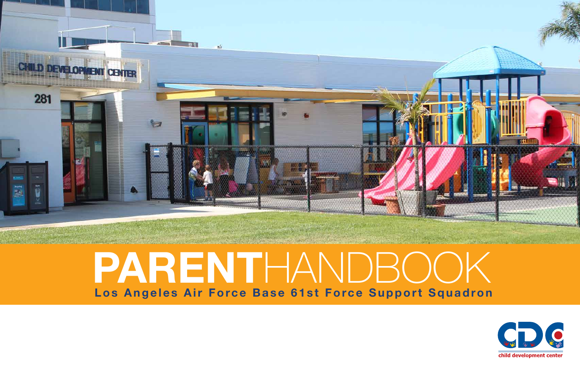

## **PARENT**HANDBOOK **Los Angeles Air Force Base 61st Force Support Squadron**

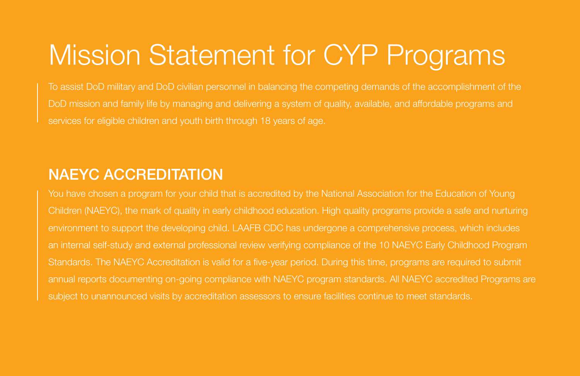## Mission Statement for CYP Programs

To assist DoD military and DoD civilian personnel in balancing the competing demands of the accomplishment of the DoD mission and family life by managing and delivering a system of quality, available, and affordable programs and services for eligible children and youth birth through 18 years of age.

#### NAEYC ACCREDITATION

You have chosen a program for your child that is accredited by the National Association for the Education of Young Children (NAEYC), the mark of quality in early childhood education. High quality programs provide a safe and nurturing environment to support the developing child. LAAFB CDC has undergone a comprehensive process, which includes an internal self-study and external professional review verifying compliance of the 10 NAEYC Early Childhood Program Standards. The NAEYC Accreditation is valid for a five-year period. During this time, programs are required to submit annual reports documenting on-going compliance with NAEYC program standards. All NAEYC accredited Programs are subject to unannounced visits by accreditation assessors to ensure facilities continue to meet standards.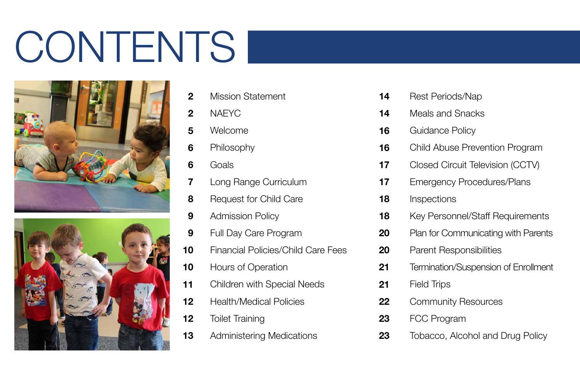# CONTENTS





- Mission Statement **2**
- **NAFYC 2**
- Welcome **5**
- Philosophy **6**
- Goals **6**
- Long Range Curriculum **7**
- Request for Child Care **8**
- Admission Policy **9**
- Full Day Care Program **9**
- Financial Policies/Child Care Fees **10**
- Hours of Operation **10**
- Children with Special Needs **11**
- Health/Medical Policies **12**
- Toilet Training **12**
- Administering Medications **13**
- Rest Periods/Nap **14**
- Meals and Snacks **14**
- Guidance Policy **16**
- Child Abuse Prevention Program **16**
- Closed Circuit Television (CCTV) **17**
- Emergency Procedures/Plans **17**
- Inspections **18**
- Key Personnel/Staff Requirements **18**
- Plan for Communicating with Parents **20**
- Parent Responsibilities **20**
- Termination/Suspension of Enrollment **21**
- Field Trips **21**
- Community Resources **22**
- FCC Program **23**
- Tobacco, Alcohol and Drug Policy **23**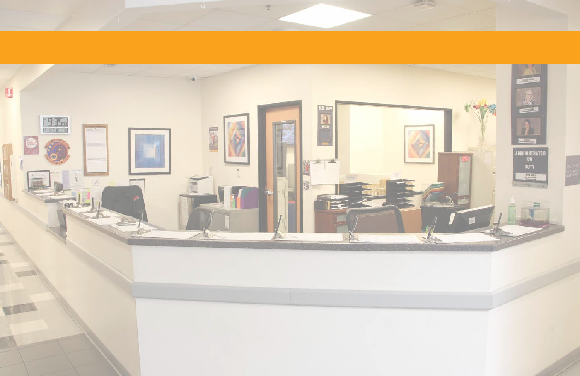

 $\overline{\mathcal{R}}$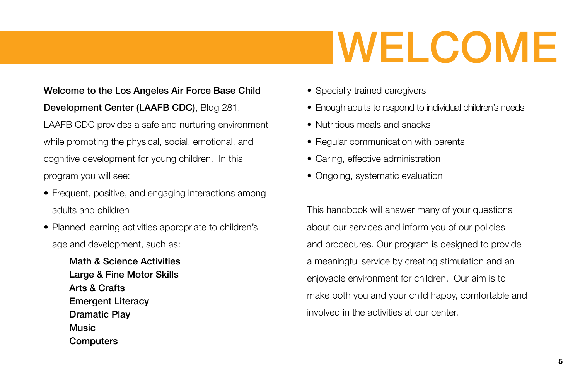# WELCOME

#### Welcome to the Los Angeles Air Force Base Child Development Center (LAAFB CDC), Bldg 281. LAAFB CDC provides a safe and nurturing environment while promoting the physical, social, emotional, and cognitive development for young children. In this program you will see:

- Frequent, positive, and engaging interactions among adults and children
- Planned learning activities appropriate to children's age and development, such as:

Math & Science Activities Large & Fine Motor Skills Arts & Crafts Emergent Literacy Dramatic Play **Music Computers** 

- Specially trained caregivers
- Enough adults to respond to individual children's needs
- Nutritious meals and snacks
- Regular communication with parents
- Caring, effective administration
- Ongoing, systematic evaluation

This handbook will answer many of your questions about our services and inform you of our policies and procedures. Our program is designed to provide a meaningful service by creating stimulation and an enjoyable environment for children. Our aim is to make both you and your child happy, comfortable and involved in the activities at our center.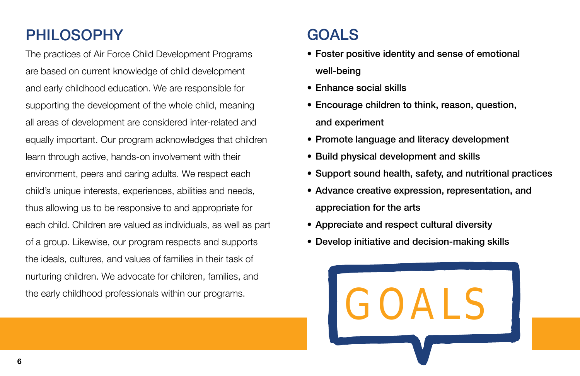#### PHILOSOPHY

The practices of Air Force Child Development Programs are based on current knowledge of child development and early childhood education. We are responsible for supporting the development of the whole child, meaning all areas of development are considered inter-related and equally important. Our program acknowledges that children learn through active, hands-on involvement with their environment, peers and caring adults. We respect each child's unique interests, experiences, abilities and needs, thus allowing us to be responsive to and appropriate for each child. Children are valued as individuals, as well as part of a group. Likewise, our program respects and supports the ideals, cultures, and values of families in their task of nurturing children. We advocate for children, families, and the early childhood professionals within our programs.

#### GOALS

- Foster positive identity and sense of emotional well-being
- • Enhance social skills
- Encourage children to think, reason, question, and experiment
- Promote language and literacy development
- Build physical development and skills
- Support sound health, safety, and nutritional practices
- Advance creative expression, representation, and appreciation for the arts
- Appreciate and respect cultural diversity
- • Develop initiative and decision-making skills

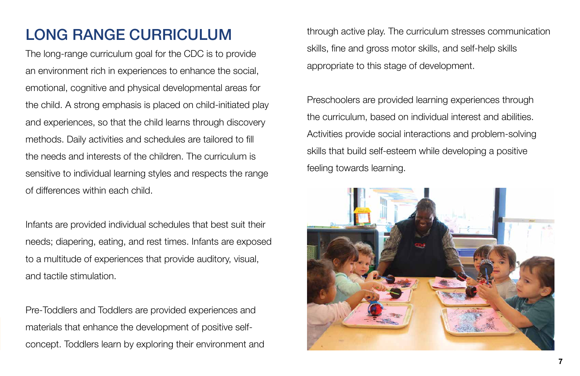### LONG RANGE CURRICULUM

The long-range curriculum goal for the CDC is to provide an environment rich in experiences to enhance the social, emotional, cognitive and physical developmental areas for the child. A strong emphasis is placed on child-initiated play and experiences, so that the child learns through discovery methods. Daily activities and schedules are tailored to fill the needs and interests of the children. The curriculum is sensitive to individual learning styles and respects the range of differences within each child.

Infants are provided individual schedules that best suit their needs; diapering, eating, and rest times. Infants are exposed to a multitude of experiences that provide auditory, visual, and tactile stimulation.

Pre-Toddlers and Toddlers are provided experiences and materials that enhance the development of positive selfconcept. Toddlers learn by exploring their environment and through active play. The curriculum stresses communication skills, fine and gross motor skills, and self-help skills appropriate to this stage of development.

Preschoolers are provided learning experiences through the curriculum, based on individual interest and abilities. Activities provide social interactions and problem-solving skills that build self-esteem while developing a positive feeling towards learning.

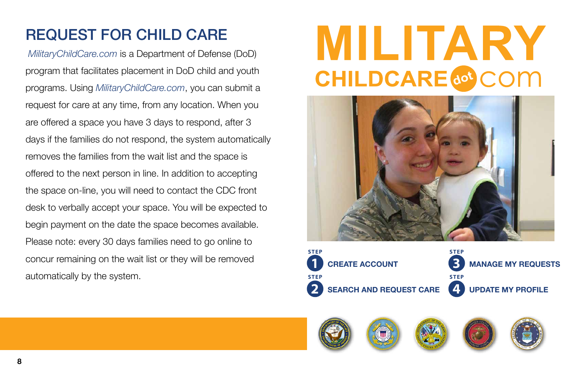### REQUEST FOR CHILD CARE

*MilitaryChildCare.com* is a Department of Defense (DoD) program that facilitates placement in DoD child and youth programs. Using *MilitaryChildCare.com*, you can submit a request for care at any time, from any location. When you are offered a space you have 3 days to respond, after 3 days if the families do not respond, the system automatically removes the families from the wait list and the space is offered to the next person in line. In addition to accepting the space on-line, you will need to contact the CDC front desk to verbally accept your space. You will be expected to begin payment on the date the space becomes available. Please note: every 30 days families need to go online to concur remaining on the wait list or they will be removed automatically by the system.

## MILITARY **CHILDCARE@COM**





**Manage My Requests Update My Profile**

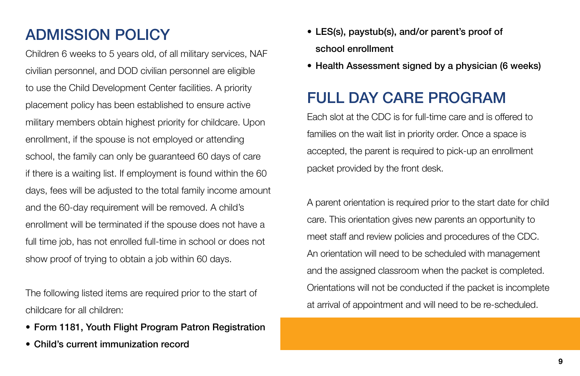#### ADMISSION POLICY

Children 6 weeks to 5 years old, of all military services, NAF civilian personnel, and DOD civilian personnel are eligible to use the Child Development Center facilities. A priority placement policy has been established to ensure active military members obtain highest priority for childcare. Upon enrollment, if the spouse is not employed or attending school, the family can only be guaranteed 60 days of care if there is a waiting list. If employment is found within the 60 days, fees will be adjusted to the total family income amount and the 60-day requirement will be removed. A child's enrollment will be terminated if the spouse does not have a full time job, has not enrolled full-time in school or does not show proof of trying to obtain a job within 60 days.

The following listed items are required prior to the start of childcare for all children:

- Form 1181, Youth Flight Program Patron Registration
- • Child's current immunization record
- LES(s), paystub(s), and/or parent's proof of school enrollment
- Health Assessment signed by a physician (6 weeks)

#### FULL DAY CARE PROGRAM

Each slot at the CDC is for full-time care and is offered to families on the wait list in priority order. Once a space is accepted, the parent is required to pick-up an enrollment packet provided by the front desk.

A parent orientation is required prior to the start date for child care. This orientation gives new parents an opportunity to meet staff and review policies and procedures of the CDC. An orientation will need to be scheduled with management and the assigned classroom when the packet is completed. Orientations will not be conducted if the packet is incomplete at arrival of appointment and will need to be re-scheduled.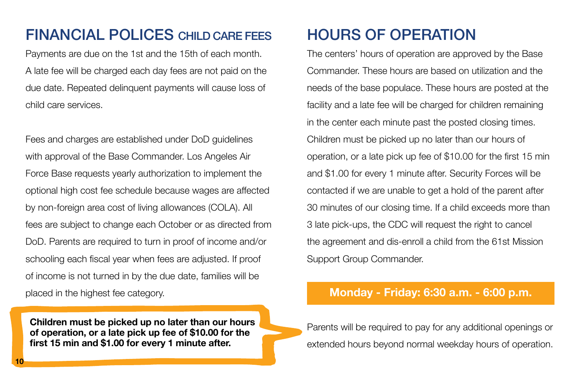#### FINANCIAL POLICES CHILD CARE FEES

Payments are due on the 1st and the 15th of each month. A late fee will be charged each day fees are not paid on the due date. Repeated delinquent payments will cause loss of child care services.

Fees and charges are established under DoD guidelines with approval of the Base Commander. Los Angeles Air Force Base requests yearly authorization to implement the optional high cost fee schedule because wages are affected by non-foreign area cost of living allowances (COLA). All fees are subject to change each October or as directed from DoD. Parents are required to turn in proof of income and/or schooling each fiscal year when fees are adjusted. If proof of income is not turned in by the due date, families will be placed in the highest fee category.

**Children must be picked up no later than our hours of operation, or a late pick up fee of \$10.00 for the first 15 min and \$1.00 for every 1 minute after.**

#### HOURS OF OPERATION

The centers' hours of operation are approved by the Base Commander. These hours are based on utilization and the needs of the base populace. These hours are posted at the facility and a late fee will be charged for children remaining in the center each minute past the posted closing times. Children must be picked up no later than our hours of operation, or a late pick up fee of \$10.00 for the first 15 min and \$1.00 for every 1 minute after. Security Forces will be contacted if we are unable to get a hold of the parent after 30 minutes of our closing time. If a child exceeds more than 3 late pick-ups, the CDC will request the right to cancel the agreement and dis-enroll a child from the 61st Mission Support Group Commander.

#### **Monday - Friday: 6:30 a.m. - 6:00 p.m.**

Parents will be required to pay for any additional openings or extended hours beyond normal weekday hours of operation.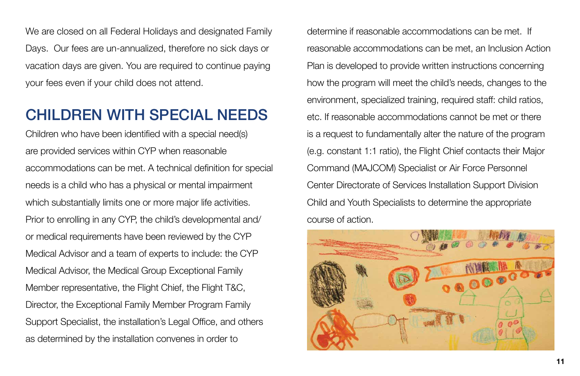We are closed on all Federal Holidays and designated Family Days. Our fees are un-annualized, therefore no sick days or vacation days are given. You are required to continue paying your fees even if your child does not attend.

#### CHILDREN WITH SPECIAL NEEDS

Children who have been identified with a special need(s) are provided services within CYP when reasonable accommodations can be met. A technical definition for special needs is a child who has a physical or mental impairment which substantially limits one or more major life activities. Prior to enrolling in any CYP, the child's developmental and/ or medical requirements have been reviewed by the CYP Medical Advisor and a team of experts to include: the CYP Medical Advisor, the Medical Group Exceptional Family Member representative, the Flight Chief, the Flight T&C, Director, the Exceptional Family Member Program Family Support Specialist, the installation's Legal Office, and others as determined by the installation convenes in order to

determine if reasonable accommodations can be met. If reasonable accommodations can be met, an Inclusion Action Plan is developed to provide written instructions concerning how the program will meet the child's needs, changes to the environment, specialized training, required staff: child ratios, etc. If reasonable accommodations cannot be met or there is a request to fundamentally alter the nature of the program (e.g. constant 1:1 ratio), the Flight Chief contacts their Major Command (MAJCOM) Specialist or Air Force Personnel Center Directorate of Services Installation Support Division Child and Youth Specialists to determine the appropriate course of action.

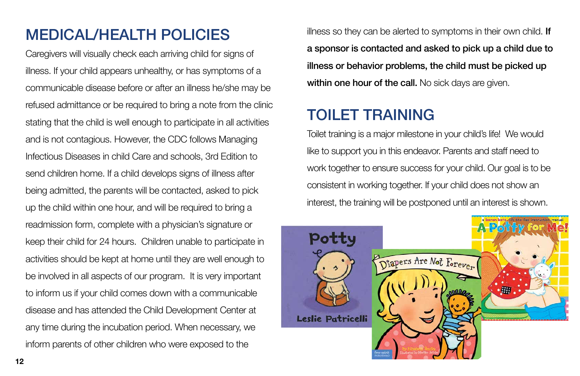#### MEDICAL/HEALTH POLICIES

Caregivers will visually check each arriving child for signs of illness. If your child appears unhealthy, or has symptoms of a communicable disease before or after an illness he/she may be refused admittance or be required to bring a note from the clinic stating that the child is well enough to participate in all activities and is not contagious. However, the CDC follows Managing Infectious Diseases in child Care and schools, 3rd Edition to send children home. If a child develops signs of illness after being admitted, the parents will be contacted, asked to pick up the child within one hour, and will be required to bring a readmission form, complete with a physician's signature or keep their child for 24 hours. Children unable to participate in activities should be kept at home until they are well enough to be involved in all aspects of our program. It is very important to inform us if your child comes down with a communicable disease and has attended the Child Development Center at any time during the incubation period. When necessary, we inform parents of other children who were exposed to the

illness so they can be alerted to symptoms in their own child. If a sponsor is contacted and asked to pick up a child due to illness or behavior problems, the child must be picked up within one hour of the call. No sick days are given.

#### TOILET TRAINING

Toilet training is a major milestone in your child's life! We would like to support you in this endeavor. Parents and staff need to work together to ensure success for your child. Our goal is to be consistent in working together. If your child does not show an interest, the training will be postponed until an interest is shown.

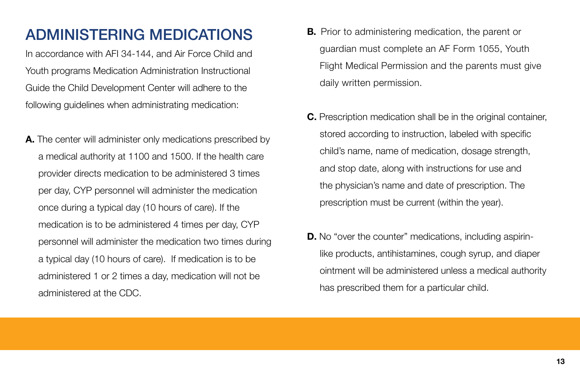### ADMINISTERING MEDICATIONS

In accordance with AFI 34-144, and Air Force Child and Youth programs Medication Administration Instructional Guide the Child Development Center will adhere to the following guidelines when administrating medication:

**A.** The center will administer only medications prescribed by a medical authority at 1100 and 1500. If the health care provider directs medication to be administered 3 times per day, CYP personnel will administer the medication once during a typical day (10 hours of care). If the medication is to be administered 4 times per day, CYP personnel will administer the medication two times during a typical day (10 hours of care). If medication is to be administered 1 or 2 times a day, medication will not be administered at the CDC.

- **B.** Prior to administering medication, the parent or guardian must complete an AF Form 1055, Youth Flight Medical Permission and the parents must give daily written permission.
- **C.** Prescription medication shall be in the original container, stored according to instruction, labeled with specific child's name, name of medication, dosage strength, and stop date, along with instructions for use and the physician's name and date of prescription. The prescription must be current (within the year).
- **D.** No "over the counter" medications, including aspirinlike products, antihistamines, cough syrup, and diaper ointment will be administered unless a medical authority has prescribed them for a particular child.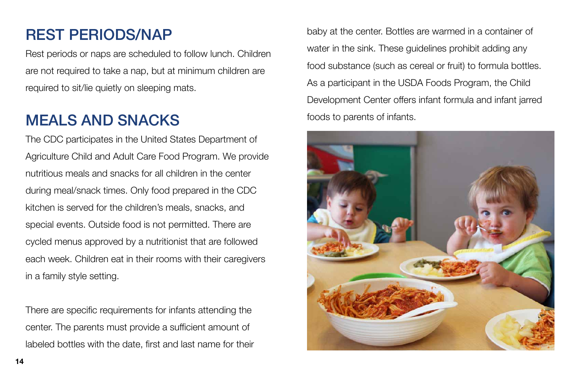#### REST PERIODS/NAP

Rest periods or naps are scheduled to follow lunch. Children are not required to take a nap, but at minimum children are required to sit/lie quietly on sleeping mats.

#### MEALS AND SNACKS

The CDC participates in the United States Department of Agriculture Child and Adult Care Food Program. We provide nutritious meals and snacks for all children in the center during meal/snack times. Only food prepared in the CDC kitchen is served for the children's meals, snacks, and special events. Outside food is not permitted. There are cycled menus approved by a nutritionist that are followed each week. Children eat in their rooms with their caregivers in a family style setting.

There are specific requirements for infants attending the center. The parents must provide a sufficient amount of labeled bottles with the date, first and last name for their

baby at the center. Bottles are warmed in a container of water in the sink. These guidelines prohibit adding any food substance (such as cereal or fruit) to formula bottles. As a participant in the USDA Foods Program, the Child Development Center offers infant formula and infant jarred foods to parents of infants.

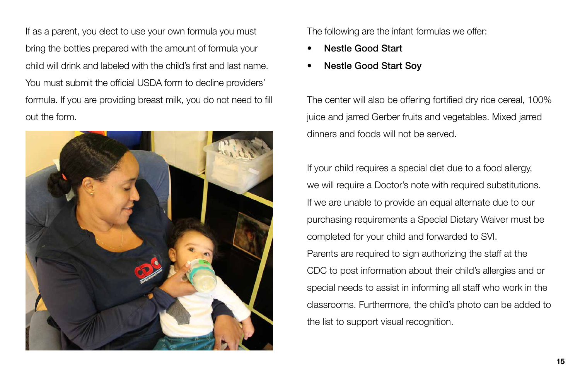If as a parent, you elect to use your own formula you must bring the bottles prepared with the amount of formula your child will drink and labeled with the child's first and last name. You must submit the official USDA form to decline providers' formula. If you are providing breast milk, you do not need to fill out the form.



The following are the infant formulas we offer:

- **Nestle Good Start**
- **Nestle Good Start Soy**

The center will also be offering fortified dry rice cereal, 100% juice and jarred Gerber fruits and vegetables. Mixed jarred dinners and foods will not be served.

If your child requires a special diet due to a food allergy, we will require a Doctor's note with required substitutions. If we are unable to provide an equal alternate due to our purchasing requirements a Special Dietary Waiver must be completed for your child and forwarded to SVI. Parents are required to sign authorizing the staff at the CDC to post information about their child's allergies and or special needs to assist in informing all staff who work in the classrooms. Furthermore, the child's photo can be added to the list to support visual recognition.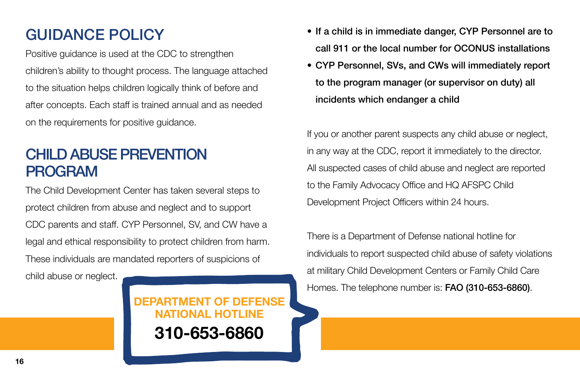#### GUIDANCE POLICY

Positive guidance is used at the CDC to strengthen children's ability to thought process. The language attached to the situation helps children logically think of before and after concepts. Each staff is trained annual and as needed on the requirements for positive guidance.

#### CHILD ABUSE PREVENTION PROGRAM

The Child Development Center has taken several steps to protect children from abuse and neglect and to support CDC parents and staff. CYP Personnel, SV, and CW have a legal and ethical responsibility to protect children from harm. These individuals are mandated reporters of suspicions of child abuse or neglect.

> **DEPARTMENT OF DEFENSE NATIONAL HOTLINE 310-653-6860**

- If a child is in immediate danger, CYP Personnel are to call 911 or the local number for OCONUS installations
- • CYP Personnel, SVs, and CWs will immediately report to the program manager (or supervisor on duty) all incidents which endanger a child

If you or another parent suspects any child abuse or neglect, in any way at the CDC, report it immediately to the director. All suspected cases of child abuse and neglect are reported to the Family Advocacy Office and HQ AFSPC Child Development Project Officers within 24 hours.

There is a Department of Defense national hotline for individuals to report suspected child abuse of safety violations at military Child Development Centers or Family Child Care Homes. The telephone number is: **FAO (310-653-6860)**.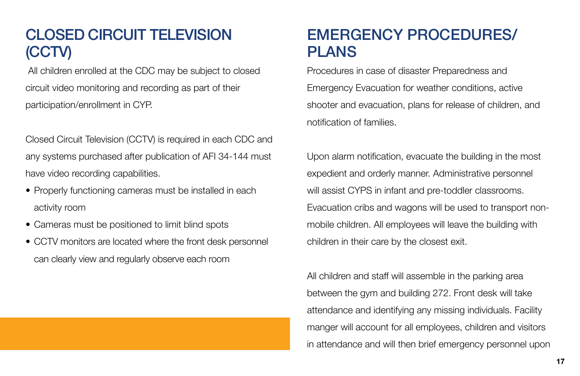#### CLOSED CIRCUIT TELEVISION (CCTV)

 All children enrolled at the CDC may be subject to closed circuit video monitoring and recording as part of their participation/enrollment in CYP.

Closed Circuit Television (CCTV) is required in each CDC and any systems purchased after publication of AFI 34-144 must have video recording capabilities.

- Properly functioning cameras must be installed in each activity room
- Cameras must be positioned to limit blind spots
- CCTV monitors are located where the front desk personnel can clearly view and regularly observe each room

#### EMERGENCY PROCEDURES/ PLANS

Procedures in case of disaster Preparedness and Emergency Evacuation for weather conditions, active shooter and evacuation, plans for release of children, and notification of families.

Upon alarm notification, evacuate the building in the most expedient and orderly manner. Administrative personnel will assist CYPS in infant and pre-toddler classrooms. Evacuation cribs and wagons will be used to transport nonmobile children. All employees will leave the building with children in their care by the closest exit.

All children and staff will assemble in the parking area between the gym and building 272. Front desk will take attendance and identifying any missing individuals. Facility manger will account for all employees, children and visitors in attendance and will then brief emergency personnel upon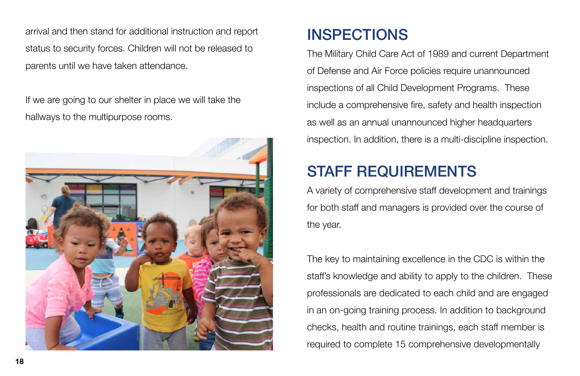arrival and then stand for additional instruction and report status to security forces. Children will not be released to parents until we have taken attendance.

If we are going to our shelter in place we will take the hallways to the multipurpose rooms.



#### **INSPECTIONS**

The Military Child Care Act of 1989 and current Department of Defense and Air Force policies require unannounced inspections of all Child Development Programs. These include a comprehensive fire, safety and health inspection as well as an annual unannounced higher headquarters inspection. In addition, there is a multi-discipline inspection.

### STAFF REQUIREMENTS

A variety of comprehensive staff development and trainings for both staff and managers is provided over the course of the year.

The key to maintaining excellence in the CDC is within the staff's knowledge and ability to apply to the children. These professionals are dedicated to each child and are engaged in an on-going training process. In addition to background checks, health and routine trainings, each staff member is required to complete 15 comprehensive developmentally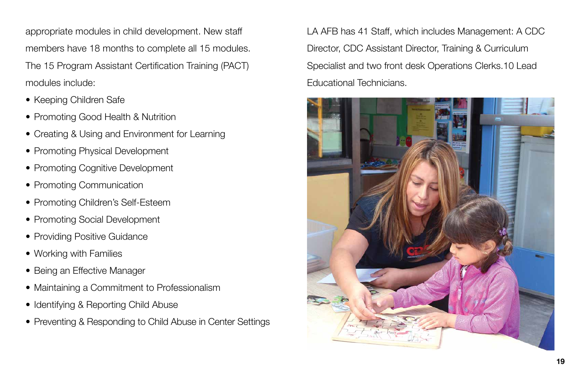appropriate modules in child development. New staff members have 18 months to complete all 15 modules. The 15 Program Assistant Certification Training (PACT) modules include:

- Keeping Children Safe
- Promoting Good Health & Nutrition
- Creating & Using and Environment for Learning
- Promoting Physical Development
- Promoting Cognitive Development
- Promoting Communication
- Promoting Children's Self-Esteem
- Promoting Social Development
- Providing Positive Guidance
- Working with Families
- Being an Effective Manager
- Maintaining a Commitment to Professionalism
- Identifying & Reporting Child Abuse
- Preventing & Responding to Child Abuse in Center Settings

LA AFB has 41 Staff, which includes Management: A CDC Director, CDC Assistant Director, Training & Curriculum Specialist and two front desk Operations Clerks.10 Lead Educational Technicians.

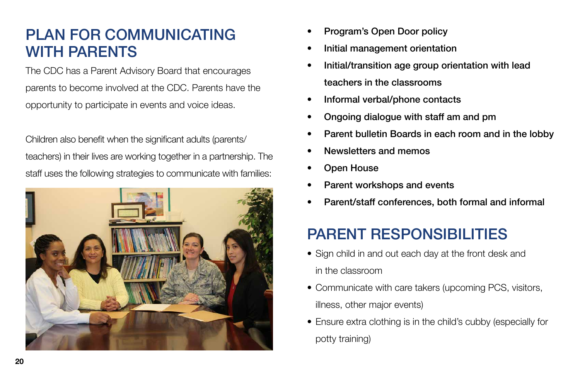#### PLAN FOR COMMUNICATING WITH PARENTS

The CDC has a Parent Advisory Board that encourages parents to become involved at the CDC. Parents have the opportunity to participate in events and voice ideas.

Children also benefit when the significant adults (parents/ teachers) in their lives are working together in a partnership. The staff uses the following strategies to communicate with families:



- Program's Open Door policy
- Initial management orientation
- Initial/transition age group orientation with lead teachers in the classrooms
- Informal verbal/phone contacts
- Ongoing dialogue with staff am and pm
- Parent bulletin Boards in each room and in the lobby
- Newsletters and memos
- **Open House**
- Parent workshops and events
- Parent/staff conferences, both formal and informal

#### PARENT RESPONSIBILITIES

- Sign child in and out each day at the front desk and in the classroom
- Communicate with care takers (upcoming PCS, visitors, illness, other major events)
- Ensure extra clothing is in the child's cubby (especially for potty training)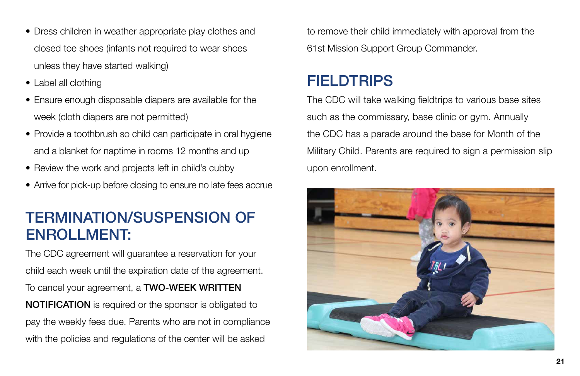- Dress children in weather appropriate play clothes and closed toe shoes (infants not required to wear shoes unless they have started walking)
- Label all clothing
- Ensure enough disposable diapers are available for the week (cloth diapers are not permitted)
- Provide a toothbrush so child can participate in oral hygiene and a blanket for naptime in rooms 12 months and up
- Review the work and projects left in child's cubby
- Arrive for pick-up before closing to ensure no late fees accrue

#### TERMINATION/SUSPENSION OF ENROLLMENT:

The CDC agreement will guarantee a reservation for your child each week until the expiration date of the agreement. To cancel your agreement, a TWO-WEEK WRITTEN NOTIFICATION is required or the sponsor is obligated to pay the weekly fees due. Parents who are not in compliance with the policies and regulations of the center will be asked

to remove their child immediately with approval from the 61st Mission Support Group Commander.

#### **FIELDTRIPS**

The CDC will take walking fieldtrips to various base sites such as the commissary, base clinic or gym. Annually the CDC has a parade around the base for Month of the Military Child. Parents are required to sign a permission slip upon enrollment.

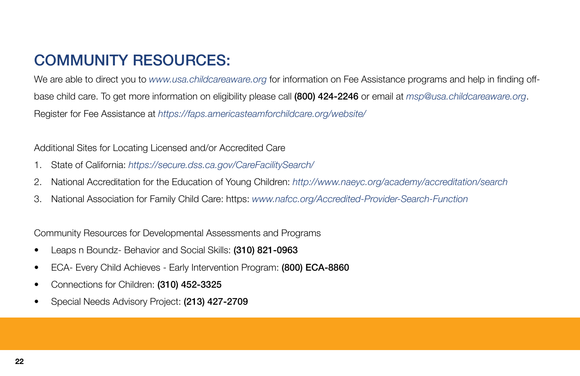#### COMMUNITY RESOURCES:

We are able to direct you to *www.usa.childcareaware.org* for information on Fee Assistance programs and help in finding offbase child care. To get more information on eligibility please call (800) 424-2246 or email at *msp@usa.childcareaware.org*. Register for Fee Assistance at *https://faps.americasteamforchildcare.org/website/*

Additional Sites for Locating Licensed and/or Accredited Care

- 1. State of California: *https://secure.dss.ca.gov/CareFacilitySearch/*
- 2. National Accreditation for the Education of Young Children: *http://www.naeyc.org/academy/accreditation/search*
- 3. National Association for Family Child Care: https: *www.nafcc.org/Accredited-Provider-Search-Function*

Community Resources for Developmental Assessments and Programs

- Leaps n Boundz- Behavior and Social Skills: (310) 821-0963
- ECA- Every Child Achieves Early Intervention Program: (800) ECA-8860
- Connections for Children: (310) 452-3325
- Special Needs Advisory Project: (213) 427-2709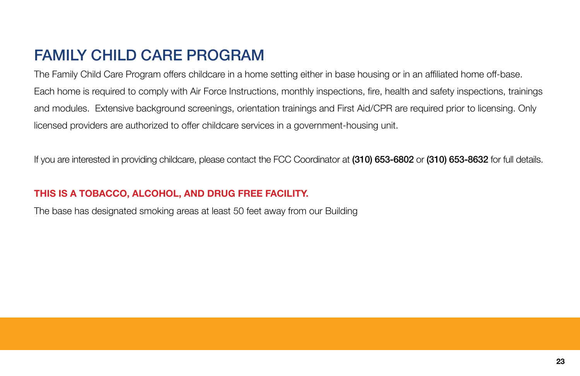#### FAMILY CHILD CARE PROGRAM

The Family Child Care Program offers childcare in a home setting either in base housing or in an affiliated home off-base. Each home is required to comply with Air Force Instructions, monthly inspections, fire, health and safety inspections, trainings and modules. Extensive background screenings, orientation trainings and First Aid/CPR are required prior to licensing. Only licensed providers are authorized to offer childcare services in a government-housing unit.

If you are interested in providing childcare, please contact the FCC Coordinator at (310) 653-6802 or (310) 653-8632 for full details.

#### **THIS IS A TOBACCO, ALCOHOL, AND DRUG FREE FACILITY.**

The base has designated smoking areas at least 50 feet away from our Building